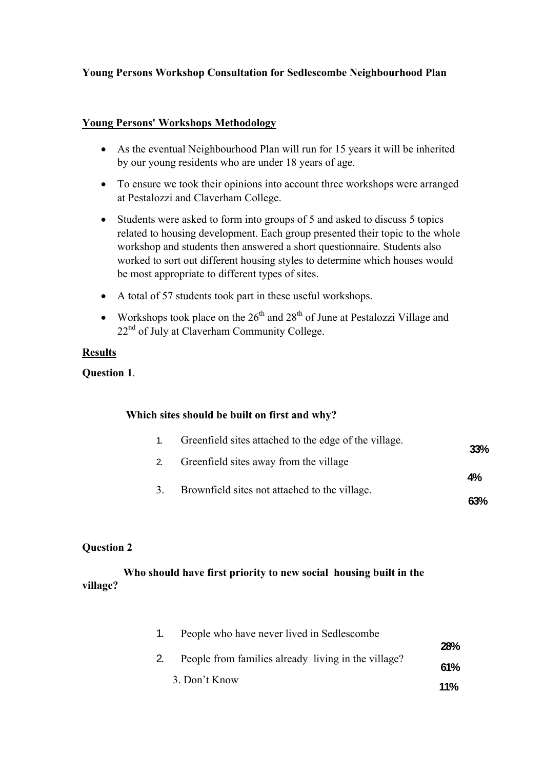# **Young Persons Workshop Consultation for Sedlescombe Neighbourhood Plan**

### **Young Persons' Workshops Methodology**

- As the eventual Neighbourhood Plan will run for 15 years it will be inherited by our young residents who are under 18 years of age.
- To ensure we took their opinions into account three workshops were arranged at Pestalozzi and Claverham College.
- Students were asked to form into groups of 5 and asked to discuss 5 topics related to housing development. Each group presented their topic to the whole workshop and students then answered a short questionnaire. Students also worked to sort out different housing styles to determine which houses would be most appropriate to different types of sites.
- A total of 57 students took part in these useful workshops.
- Workshops took place on the  $26<sup>th</sup>$  and  $28<sup>th</sup>$  of June at Pestalozzi Village and 22<sup>nd</sup> of July at Claverham Community College.

### **Results**

**Question 1**.

#### **Which sites should be built on first and why?**

| $\sim$ 1. | Greenfield sites attached to the edge of the village. | 33% |
|-----------|-------------------------------------------------------|-----|
| 2.        | Greenfield sites away from the village                |     |
|           |                                                       | 4%  |
| 3.        | Brownfield sites not attached to the village.         | 63% |

### **Question 2**

# **Who should have first priority to new social housing built in the village?**

| People who have never lived in Sedlescombe          |            |
|-----------------------------------------------------|------------|
|                                                     | <b>28%</b> |
| People from families already living in the village? | 61%        |
| 3. Don't Know                                       | <b>11%</b> |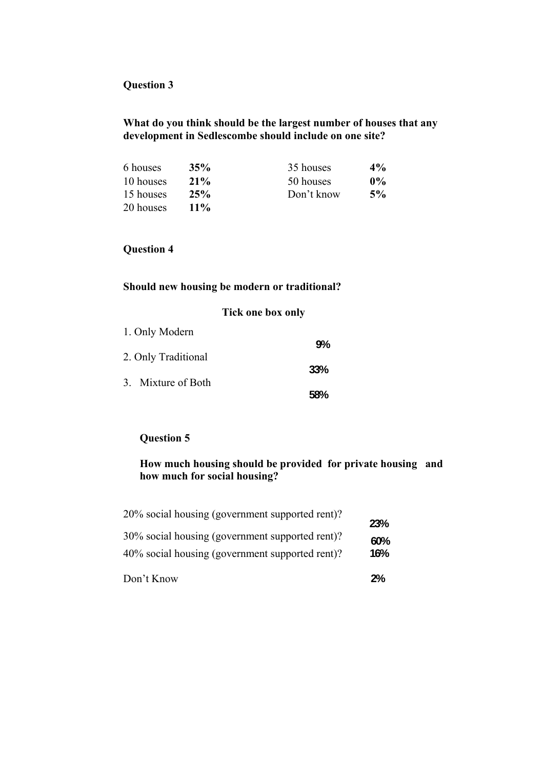# **Question 3**

### **What do you think should be the largest number of houses that any development in Sedlescombe should include on one site?**

| 6 houses  | 35%    | 35 houses  | $4\%$ |
|-----------|--------|------------|-------|
| 10 houses | $21\%$ | 50 houses  | $0\%$ |
| 15 houses | 25%    | Don't know | 5%    |
| 20 houses | $11\%$ |            |       |

# **Question 4**

# **Should new housing be modern or traditional?**

|                     | <b>Tick one box only</b> |            |
|---------------------|--------------------------|------------|
| 1. Only Modern      |                          |            |
| 2. Only Traditional |                          | 9%         |
| 3. Mixture of Both  |                          | <b>33%</b> |
|                     |                          | 58%        |

# **Question 5**

# **How much housing should be provided for private housing and how much for social housing?**

| Don't Know                                                                                         | 2%         |
|----------------------------------------------------------------------------------------------------|------------|
| 30% social housing (government supported rent)?<br>40% social housing (government supported rent)? | 60%<br>16% |
| 20% social housing (government supported rent)?                                                    | 23%        |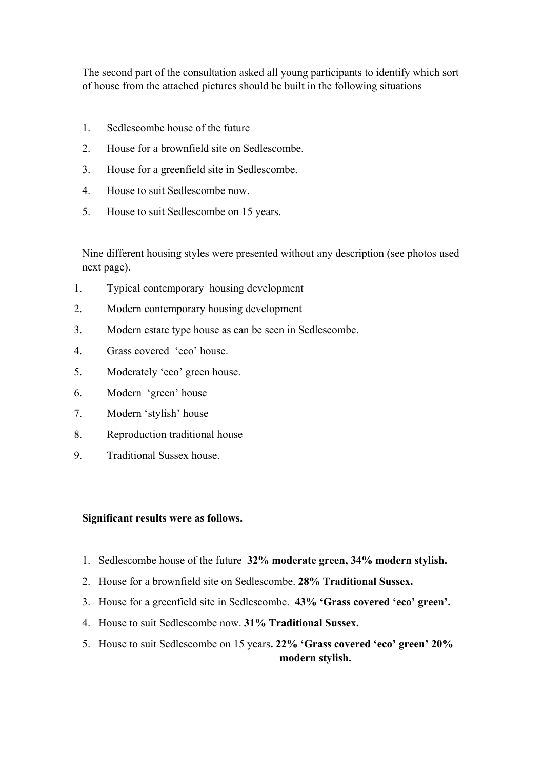The second part of the consultation asked all young participants to identify which sort of house from the attached pictures should be built in the following situations

- 1. Sedlescombe house of the future
- 2. House for a brownfield site on Sedlescombe.
- 3. House for a greenfield site in Sedlescombe.
- 4. House to suit Sedlescombe now.
- 5. House to suit Sedlescombe on 15 years.

Nine different housing styles were presented without any description (see photos used next page).

- 1. Typical contemporary housing development
- 2. Modern contemporary housing development
- 3. Modern estate type house as can be seen in Sedlescombe.
- 4. Grass covered 'eco' house.
- 5. Moderately 'eco' green house.
- 6. Modern 'green' house
- 7. Modern 'stylish' house
- 8. Reproduction traditional house
- 9. Traditional Sussex house.

#### **Significant results were as follows.**

- 1. Sedlescombe house of the future **32% moderate green, 34% modern stylish.**
- 2. House for a brownfield site on Sedlescombe. **28% Traditional Sussex.**
- 3. House for a greenfield site in Sedlescombe. **43% 'Grass covered 'eco' green'.**
- 4. House to suit Sedlescombe now. **31% Traditional Sussex.**
- 5. House to suit Sedlescombe on 15 years**. 22% 'Grass covered 'eco' green' 20% modern stylish.**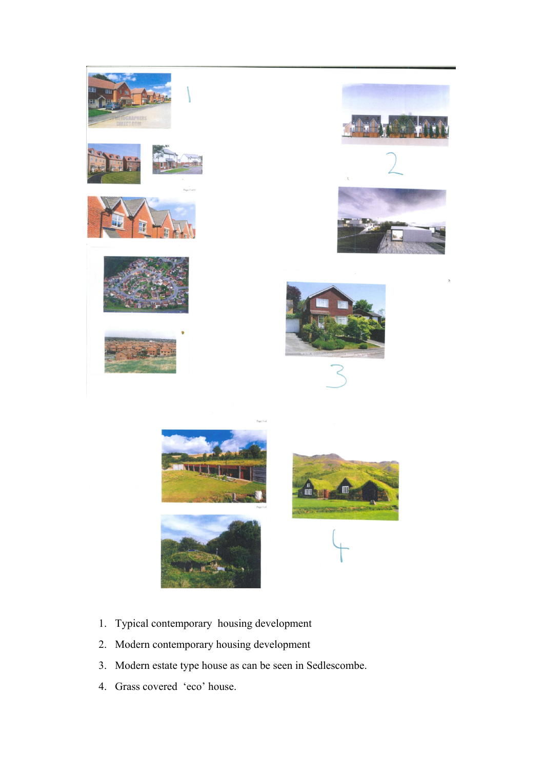

- 1. Typical contemporary housing development
- 2. Modern contemporary housing development
- 3. Modern estate type house as can be seen in Sedlescombe.
- 4. Grass covered 'eco' house.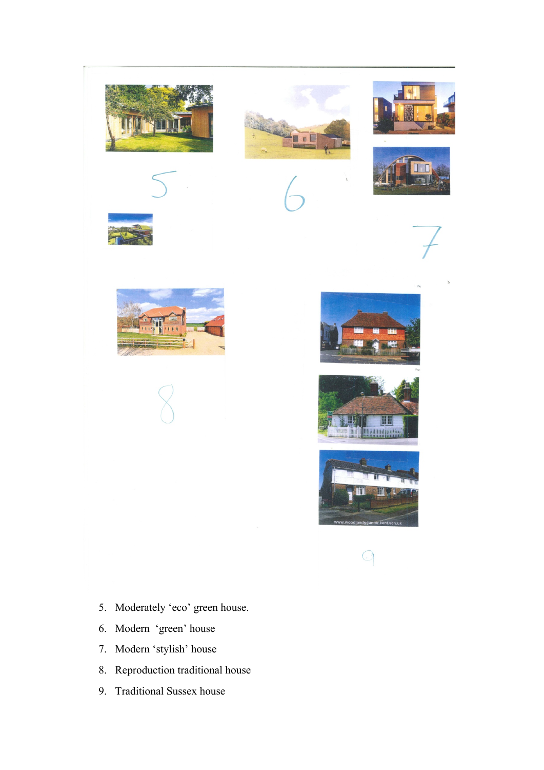













 $\overline{C}$ 

- 5. Moderately 'eco' green house.
- 6. Modern 'green' house
- 7. Modern 'stylish' house
- 8. Reproduction traditional house
- 9. Traditional Sussex house